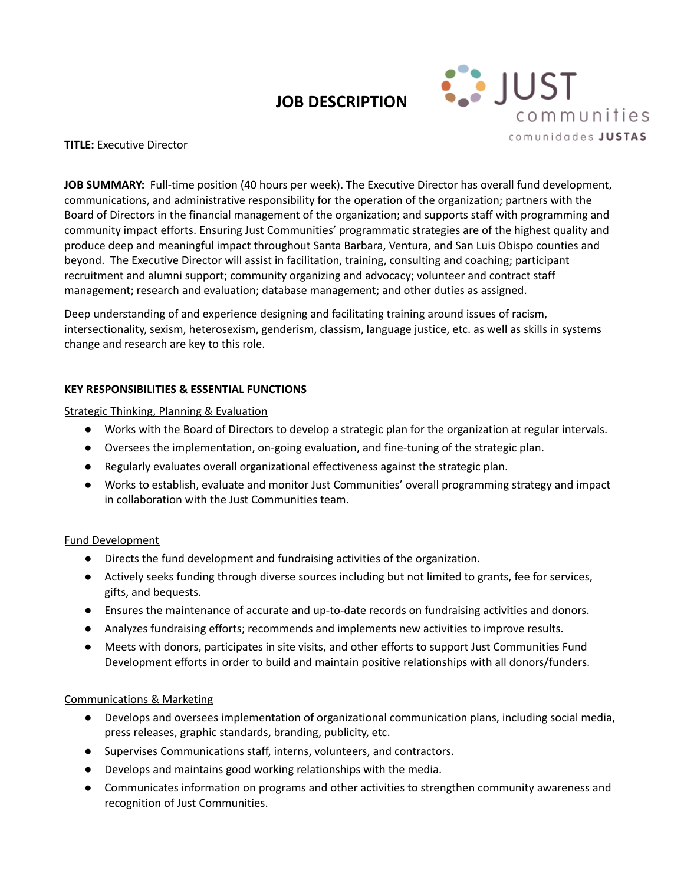# **JOB DESCRIPTION**



**TITLE:** Executive Director

**JOB SUMMARY:** Full-time position (40 hours per week). The Executive Director has overall fund development, communications, and administrative responsibility for the operation of the organization; partners with the Board of Directors in the financial management of the organization; and supports staff with programming and community impact efforts. Ensuring Just Communities' programmatic strategies are of the highest quality and produce deep and meaningful impact throughout Santa Barbara, Ventura, and San Luis Obispo counties and beyond. The Executive Director will assist in facilitation, training, consulting and coaching; participant recruitment and alumni support; community organizing and advocacy; volunteer and contract staff management; research and evaluation; database management; and other duties as assigned.

Deep understanding of and experience designing and facilitating training around issues of racism, intersectionality, sexism, heterosexism, genderism, classism, language justice, etc. as well as skills in systems change and research are key to this role.

# **KEY RESPONSIBILITIES & ESSENTIAL FUNCTIONS**

Strategic Thinking, Planning & Evaluation

- Works with the Board of Directors to develop a strategic plan for the organization at regular intervals.
- Oversees the implementation, on-going evaluation, and fine-tuning of the strategic plan.
- Regularly evaluates overall organizational effectiveness against the strategic plan.
- Works to establish, evaluate and monitor Just Communities' overall programming strategy and impact in collaboration with the Just Communities team.

# Fund Development

- Directs the fund development and fundraising activities of the organization.
- Actively seeks funding through diverse sources including but not limited to grants, fee for services, gifts, and bequests.
- Ensures the maintenance of accurate and up-to-date records on fundraising activities and donors.
- Analyzes fundraising efforts; recommends and implements new activities to improve results.
- Meets with donors, participates in site visits, and other efforts to support Just Communities Fund Development efforts in order to build and maintain positive relationships with all donors/funders.

# Communications & Marketing

- Develops and oversees implementation of organizational communication plans, including social media, press releases, graphic standards, branding, publicity, etc.
- Supervises Communications staff, interns, volunteers, and contractors.
- Develops and maintains good working relationships with the media.
- Communicates information on programs and other activities to strengthen community awareness and recognition of Just Communities.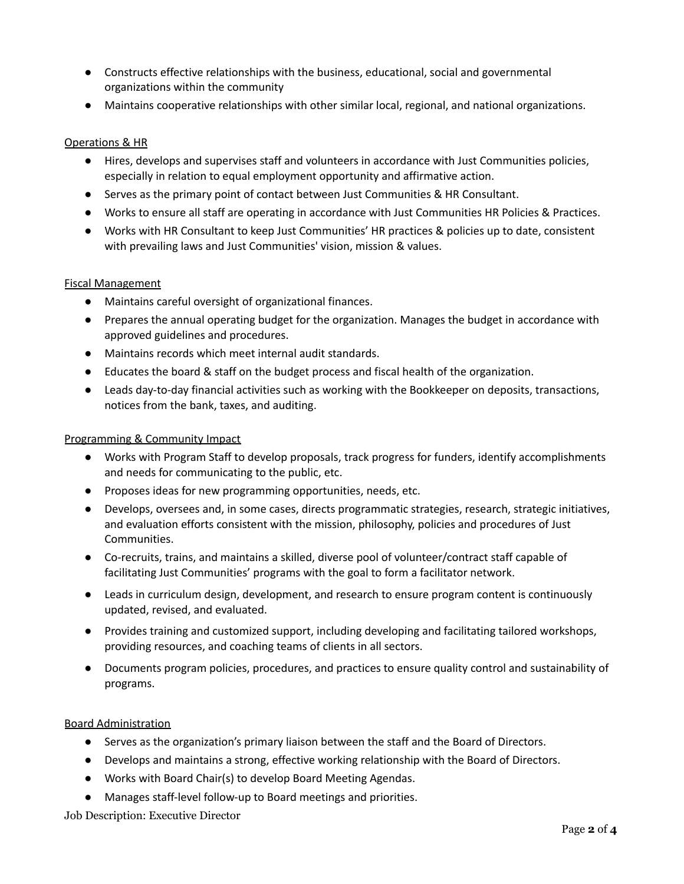- Constructs effective relationships with the business, educational, social and governmental organizations within the community
- Maintains cooperative relationships with other similar local, regional, and national organizations.

#### Operations & HR

- Hires, develops and supervises staff and volunteers in accordance with Just Communities policies, especially in relation to equal employment opportunity and affirmative action.
- Serves as the primary point of contact between Just Communities & HR Consultant.
- Works to ensure all staff are operating in accordance with Just Communities HR Policies & Practices.
- Works with HR Consultant to keep Just Communities' HR practices & policies up to date, consistent with prevailing laws and Just Communities' vision, mission & values.

#### Fiscal Management

- Maintains careful oversight of organizational finances.
- Prepares the annual operating budget for the organization. Manages the budget in accordance with approved guidelines and procedures.
- Maintains records which meet internal audit standards.
- Educates the board & staff on the budget process and fiscal health of the organization.
- Leads day-to-day financial activities such as working with the Bookkeeper on deposits, transactions, notices from the bank, taxes, and auditing.

#### Programming & Community Impact

- Works with Program Staff to develop proposals, track progress for funders, identify accomplishments and needs for communicating to the public, etc.
- Proposes ideas for new programming opportunities, needs, etc.
- Develops, oversees and, in some cases, directs programmatic strategies, research, strategic initiatives, and evaluation efforts consistent with the mission, philosophy, policies and procedures of Just Communities.
- Co-recruits, trains, and maintains a skilled, diverse pool of volunteer/contract staff capable of facilitating Just Communities' programs with the goal to form a facilitator network.
- Leads in curriculum design, development, and research to ensure program content is continuously updated, revised, and evaluated.
- Provides training and customized support, including developing and facilitating tailored workshops, providing resources, and coaching teams of clients in all sectors.
- Documents program policies, procedures, and practices to ensure quality control and sustainability of programs.

#### Board Administration

- Serves as the organization's primary liaison between the staff and the Board of Directors.
- Develops and maintains a strong, effective working relationship with the Board of Directors.
- Works with Board Chair(s) to develop Board Meeting Agendas.
- Manages staff-level follow-up to Board meetings and priorities.

Job Description: Executive Director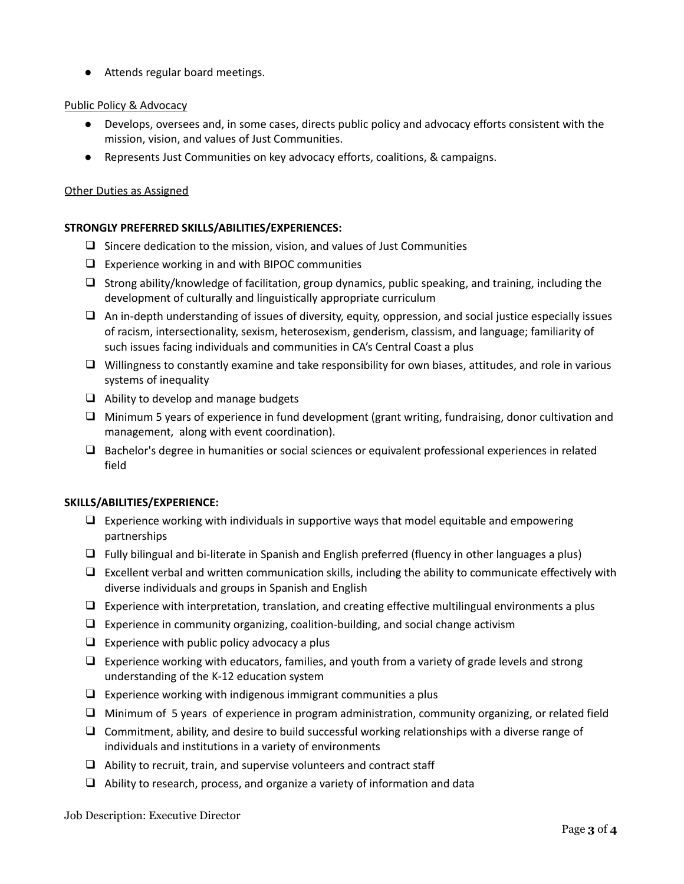● Attends regular board meetings.

# Public Policy & Advocacy

- Develops, oversees and, in some cases, directs public policy and advocacy efforts consistent with the mission, vision, and values of Just Communities.
- Represents Just Communities on key advocacy efforts, coalitions, & campaigns.

# Other Duties as Assigned

# **STRONGLY PREFERRED SKILLS/ABILITIES/EXPERIENCES:**

- ❑ Sincere dedication to the mission, vision, and values of Just Communities
- $\Box$  Experience working in and with BIPOC communities
- ❑ Strong ability/knowledge of facilitation, group dynamics, public speaking, and training, including the development of culturally and linguistically appropriate curriculum
- ❑ An in-depth understanding of issues of diversity, equity, oppression, and social justice especially issues of racism, intersectionality, sexism, heterosexism, genderism, classism, and language; familiarity of such issues facing individuals and communities in CA's Central Coast a plus
- ❑ Willingness to constantly examine and take responsibility for own biases, attitudes, and role in various systems of inequality
- ❑ Ability to develop and manage budgets
- ❑ Minimum 5 years of experience in fund development (grant writing, fundraising, donor cultivation and management, along with event coordination).
- ❑ Bachelor's degree in humanities or social sciences or equivalent professional experiences in related field

# **SKILLS/ABILITIES/EXPERIENCE:**

- ❑ Experience working with individuals in supportive ways that model equitable and empowering partnerships
- ❑ Fully bilingual and bi-literate in Spanish and English preferred (fluency in other languages a plus)
- ❑ Excellent verbal and written communication skills, including the ability to communicate effectively with diverse individuals and groups in Spanish and English
- ❑ Experience with interpretation, translation, and creating effective multilingual environments a plus
- ❑ Experience in community organizing, coalition-building, and social change activism
- $\Box$  Experience with public policy advocacy a plus
- ❑ Experience working with educators, families, and youth from a variety of grade levels and strong understanding of the K-12 education system
- $\Box$  Experience working with indigenous immigrant communities a plus
- ❑ Minimum of 5 years of experience in program administration, community organizing, or related field
- $\Box$  Commitment, ability, and desire to build successful working relationships with a diverse range of individuals and institutions in a variety of environments
- $\Box$  Ability to recruit, train, and supervise volunteers and contract staff
- ❑ Ability to research, process, and organize a variety of information and data

Job Description: Executive Director